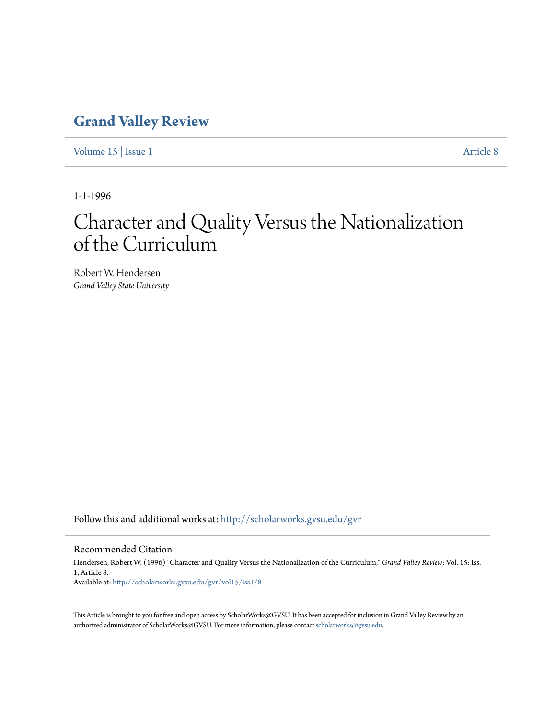## **[Grand Valley Review](http://scholarworks.gvsu.edu/gvr?utm_source=scholarworks.gvsu.edu%2Fgvr%2Fvol15%2Fiss1%2F8&utm_medium=PDF&utm_campaign=PDFCoverPages)**

[Volume 15](http://scholarworks.gvsu.edu/gvr/vol15?utm_source=scholarworks.gvsu.edu%2Fgvr%2Fvol15%2Fiss1%2F8&utm_medium=PDF&utm_campaign=PDFCoverPages) | [Issue 1](http://scholarworks.gvsu.edu/gvr/vol15/iss1?utm_source=scholarworks.gvsu.edu%2Fgvr%2Fvol15%2Fiss1%2F8&utm_medium=PDF&utm_campaign=PDFCoverPages) [Article 8](http://scholarworks.gvsu.edu/gvr/vol15/iss1/8?utm_source=scholarworks.gvsu.edu%2Fgvr%2Fvol15%2Fiss1%2F8&utm_medium=PDF&utm_campaign=PDFCoverPages)

1-1-1996

# Character and Quality Versus the Nationalization of the Curriculum

Robert W. Hendersen *Grand Valley State University*

Follow this and additional works at: [http://scholarworks.gvsu.edu/gvr](http://scholarworks.gvsu.edu/gvr?utm_source=scholarworks.gvsu.edu%2Fgvr%2Fvol15%2Fiss1%2F8&utm_medium=PDF&utm_campaign=PDFCoverPages)

#### Recommended Citation

Hendersen, Robert W. (1996) "Character and Quality Versus the Nationalization of the Curriculum," *Grand Valley Review*: Vol. 15: Iss. 1, Article 8. Available at: [http://scholarworks.gvsu.edu/gvr/vol15/iss1/8](http://scholarworks.gvsu.edu/gvr/vol15/iss1/8?utm_source=scholarworks.gvsu.edu%2Fgvr%2Fvol15%2Fiss1%2F8&utm_medium=PDF&utm_campaign=PDFCoverPages)

This Article is brought to you for free and open access by ScholarWorks@GVSU. It has been accepted for inclusion in Grand Valley Review by an authorized administrator of ScholarWorks@GVSU. For more information, please contact [scholarworks@gvsu.edu.](mailto:scholarworks@gvsu.edu)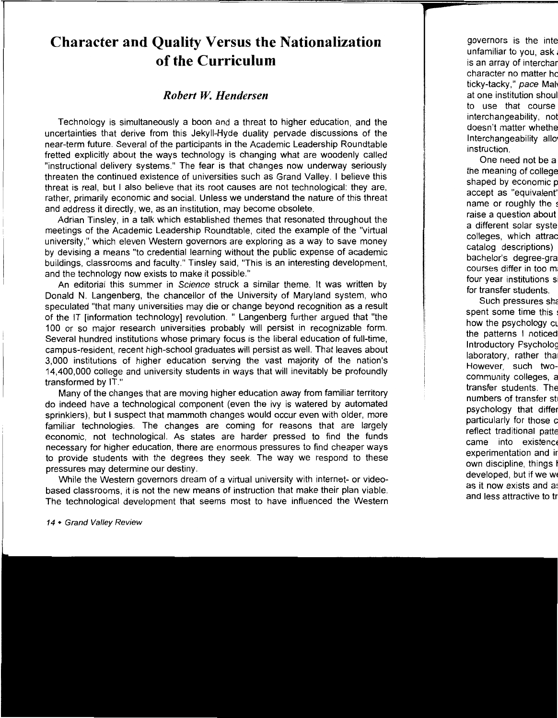## **Character and Quality Versus the Nationalization of the Curriculum**

### *Robert W. Hendersen*

Technology is simultaneously a boon and a threat to higher education, and the uncertainties that derive from this Jekyll-Hyde duality pervade discussions of the near-term future. Several of the participants in the Academic Leadership Roundtable fretted explicitly about the ways technology is changing what are woodenly called "instructional delivery systems." The fear is that changes now underway seriously threaten the continued existence of universities such as Grand Valley. I believe this threat is real, but I also believe that its root causes are not technological: they are, rather, primarily economic and social. Unless we understand the nature of this threat and address it directly, we, as an institution, may become obsolete.

Adrian Tinsley, in a talk which established themes that resonated throughout the meetings of the Academic Leadership Roundtable, cited the example of the "virtual university," which eleven Western governors are exploring as a way to save money by devising a means "to credential learning without the public expense of academic buildings, classrooms and faculty." Tinsley said, "This is an interesting development, and the technology now exists to make it possible."

An editorial this summer in Science struck a similar theme. It was written by Donald N. Langenberg, the chancellor of the University of Maryland system, who speculated "that many universities may die or change beyond recognition as a result of the IT [information technology] revolution. " Langenberg further argued that "the 100 or so major research universities probably will persist in recognizable form. Several hundred institutions whose primary focus is the liberal education of full-time campus-resident, recent high-school graduates will persist as well. That leaves about 3,000 institutions of higher education serving the vast majority of the nation's 14,400,000 college and university students in ways that will inevitably be profoundly transformed by IT."

Many of the changes that are moving higher education away from familiar territory do indeed have a technological component (even the ivy is watered by automated sprinklers), but I suspect that mammoth changes would occur even with older, more familiar technologies. The changes are coming for reasons that are largely economic, not technological. As states are harder pressed to find the funds necessary for higher education, there are enormous pressures to find cheaper ways to provide students with the degrees they seek. The way we respond to these pressures may determine our destiny.

While the Western governors dream of a virtual university with internet- or videobased classrooms, it is not the new means of instruction that make their plan viable. The technological development that seems most to have influenced the Western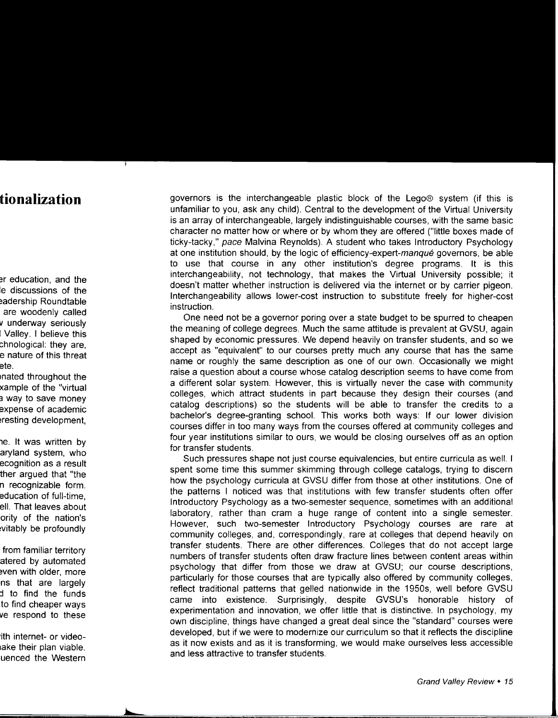governors is the interchangeable plastic block of the Lego® system (if this is unfamiliar to you, ask any child). Central to the development of the Virtual University is an array of interchangeable, largely indistinguishable courses, with the same basic character no matter how or where or by whom they are offered ("little boxes made of ticky-tacky," pace Malvina Reynolds). A student who takes Introductory Psychology at one institution should, by the logic of efficiency-expert-manque governors, be able to use that course in any other institution's degree programs. It is this interchangeability, not technology, that makes the Virtual University possible; it doesn't matter whether instruction is delivered via the internet or by carrier pigeon. Interchangeability allows lower-cost instruction to substitute freely for higher-cost instruction.

One need not be a governor poring over a state budget to be spurred to cheapen the meaning of college degrees. Much the same attitude is prevalent at GVSU, again shaped by economic pressures. We depend heavily on transfer students, and so we accept as "equivalent" to our courses pretty much any course that has the same name or roughly the same description as one of our own. Occasionally we might raise a question about a course whose catalog description seems to have come from a different solar system. However, this is virtually never the case with community colleges, which attract students in part because they design their courses (and catalog descriptions) so the students will be able to transfer the credits to a bachelor's degree-granting school. This works both ways: If our lower division courses differ in too many ways from the courses offered at community colleges and four year institutions similar to ours, we would be closing ourselves off as an option for transfer students.

Such pressures shape not just course equivalencies, but entire curricula as well. I spent some time this summer skimming through college catalogs, trying to discern how the psychology curricula at GVSU differ from those at other institutions. One of the patterns I noticed was that institutions with few transfer students often offer Introductory Psychology as a two-semester sequence, sometimes with an additional laboratory, rather than cram a huge range of content into a single semester. However, such two-semester Introductory Psychology courses are rare at community colleges, and, correspondingly, rare at colleges that depend heavily on transfer students. There are other differences. Colleges that do not accept large numbers of transfer students often draw fracture lines between content areas within psychology that differ from those we draw at GVSU; our course descriptions, particularly for those courses that are typically also offered by community colleges, reflect traditional patterns that gelled nationwide in the 1950s, well before GVSU came into existence. Surprisingly, despite GVSU's honorable history experimentation and innovation, we offer little that is distinctive. In psychology, my own discipline, things have changed a great deal since the "standard" courses were developed, but if we were to modernize our curriculum so that it reflects the discipline as it now exists and as it is transforming, we would make ourselves less accessible and less attractive to transfer students.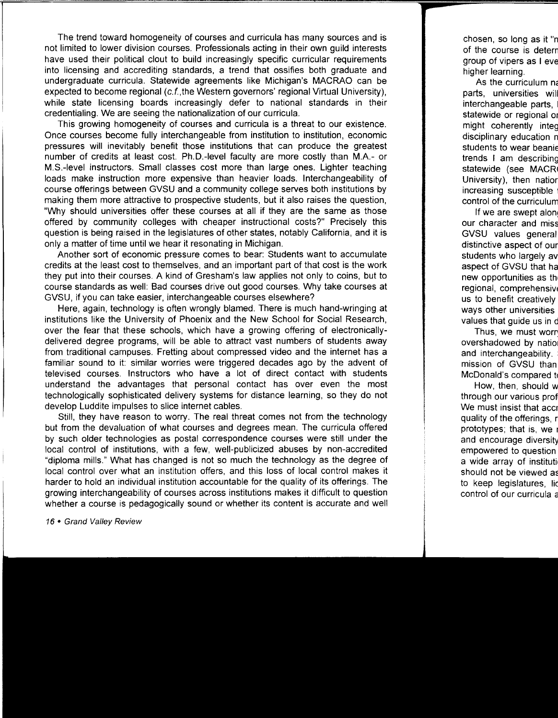The trend toward homogeneity of courses and curricula has many sources and is not limited to lower division courses. Professionals acting in their own guild interests have used their political clout to build increasingly specific curricular requirements into licensing and accrediting standards, a trend that ossifies both graduate and undergraduate curricula. Statewide agreements like Michigan's MACRAO can be expected to become regional (c.f., the Western governors' regional Virtual University), while state licensing boards increasingly defer to national standards in their credentialing. We are seeing the nationalization of our curricula.

This growing homogeneity of courses and curricula is a threat to our existence. Once courses become fully interchangeable from institution to institution, economic pressures will inevitably benefit those institutions that can produce the greatest number of credits at least cost. Ph.D.-Ievel faculty are more costly than M.A.- or M.S.-Ievel instructors. Small classes cost more than large ones. Lighter teaching loads make instruction more expensive than heavier loads. Interchangeability of course offerings between GVSU and a community college serves both institutions by making them more attractive to prospective students, but it also raises the question, "Why should universities offer these courses at all if they are the same as those offered by community colleges with cheaper instructional costs?" Precisely this question is being raised in the legislatures of other states, notably California, and it is only a matter of time until we hear it resonating in Michigan.

Another sort of economic pressure comes to bear: Students want to accumulate credits at the least cost to themselves, and an important part of that cost is the work they put into their courses. A kind of Gresham's law applies not only to coins, but to course standards as well: Bad courses drive out good courses. Why take courses at GVSU, if you can take easier, interchangeable courses elsewhere?

Here, again, technology is often wrongly blamed. There is much hand-wringing at institutions like the University of Phoenix and the New School for Social Research, over the fear that these schools, which have a growing offering of electronicallydelivered degree programs, will be able to attract vast numbers of students away from traditional campuses. Fretting about compressed video and the internet has a familiar sound to it: similar worries were triggered decades ago by the advent of televised courses. Instructors who have a lot of direct contact with students understand the advantages that personal contact has over even the most technologically sophisticated delivery systems for distance learning, so they do not develop Luddite impulses to slice internet cables.

Still, they have reason to worry. The real threat comes not from the technology but from the devaluation of what courses and degrees mean. The curricula offered by such older technologies as postal correspondence courses were still under the local control of institutions, with a few, well-publicized abuses by non-accredited "diploma mills." What has changed is not so much the technology as the degree of local control over what an institution offers, and this loss of local control makes it harder to hold an individual institution accountable for the quality of its offerings. The growing interchangeability of courses across institutions makes it difficult to question whether a course is pedagogically sound or whether its content is accurate and well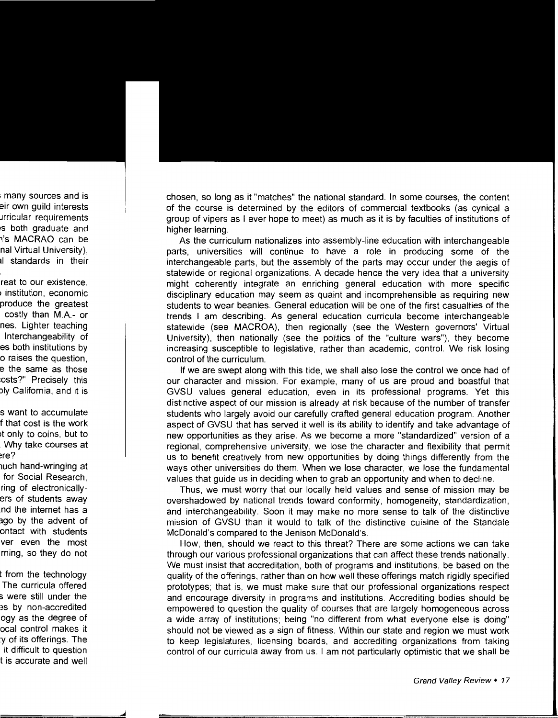chosen, so long as it "matches" the national standard. In some courses, the content of the course is determined by the editors of commercial textbooks (as cynical a group of vipers as I ever hope to meet) as much as it is by faculties of institutions of higher learning.

As the curriculum nationalizes into assembly-line education with interchangeable parts, universities will continue to have a role in producing some of the interchangeable parts, but the assembly of the parts may occur under the aegis of statewide or regional organizations. A decade hence the very idea that a university might coherently integrate an enriching general education with more specific disciplinary education may seem as quaint and incomprehensible as requiring new students to wear beanies. General education will be one of the first casualties of the trends I am describing. As general education curricula become interchangeable statewide (see MACROA), then regionally (see the Western governors' Virtual University), then nationally (see the politics of the "culture wars"), they become increasing susceptible to legislative, rather than academic, control. We risk losing control of the curriculum.

If we are swept along with this tide, we shall also lose the control we once had of our character and mission. For example, many of us are proud and boastful that GVSU values general education, even in its professional programs. Yet this distinctive aspect of our mission is already at risk because of the number of transfer students who largely avoid our carefully crafted general education program. Another aspect of GVSU that has served it well is its ability to identify and take advantage of new opportunities as they arise. As we become a more "standardized" version of a regional, comprehensive university, we lose the character and flexibility that permit us to benefit creatively from new opportunities by doing things differently from the ways other universities do them. When we lose character, we lose the fundamental values that guide us in deciding when to grab an opportunity and when to decline.

Thus, we must worry that our locally held values and sense of mission may be overshadowed by national trends toward conformity, homogeneity, standardization, and interchangeability. Soon it may make no more sense to talk of the distinctive mission of GVSU than it would to talk of the distinctive cuisine of the Standale McDonald's compared to the Jenison McDonald's.

How, then, should we react to this threat? There are some actions we can take through our various professional organizations that can affect these trends nationally. We must insist that accreditation, both of programs and institutions, be based on the quality of the offerings, rather than on how well these offerings match rigidly specified prototypes; that is, we must make sure that our professional organizations respect and encourage diversity in programs and institutions. Accrediting bodies should be empowered to question the quality of courses that are largely homogeneous across a wide array of institutions; being "no different from what everyone else is doing" should not be viewed as a sign of fitness. Within our state and region we must work to keep legislatures, licensing boards, and accrediting organizations from taking control of our curricula away from us. I am not particularly optimistic that we shall be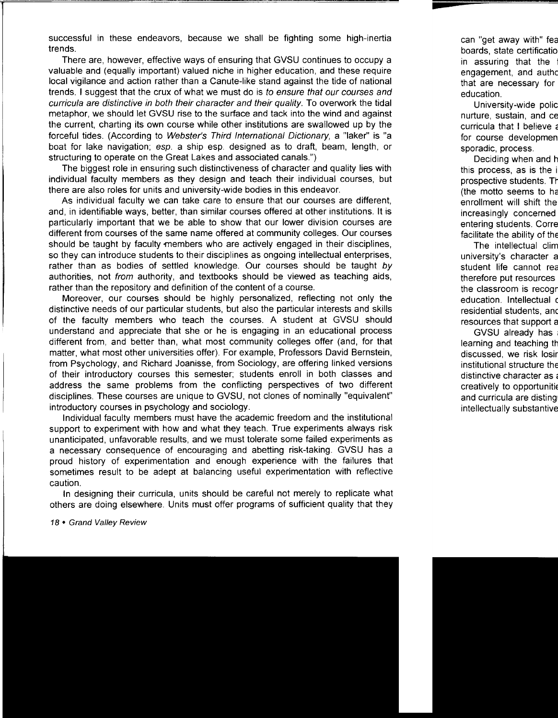successful in these endeavors, because we shall be fighting some high-inertia trends.

There are, however, effective ways of ensuring that GVSU continues to occupy a valuable and (equally important) valued niche in higher education, and these require local vigilance and action rather than a Canute-like stand against the tide of national trends. I suggest that the crux of what we must do is to ensure that our courses and curricula are distinctive in both their character and their quality. To overwork the tidal metaphor, we should let GVSU rise to the surface and tack into the wind and against the current, charting its own course while other institutions are swallowed up by the forceful tides. (According to Webster's Third International Dictionary, a "Iaker" is "a boat for lake navigation; esp. a ship esp. designed as to draft, beam, length, or structuring to operate on the Great Lakes and associated canals.")

The biggest role in ensuring such distinctiveness of character and quality lies with individual faculty members as they design and teach their individual courses, but there are also roles for units and university-wide bodies in this endeavor.

As individual faculty we can take care to ensure that our courses are different, and, in identifiable ways, better, than similar courses offered at other institutions. It is particularly important that we be able to show that our lower division courses are different from courses of the same name offered at community colleges. Our courses should be taught by faculty members who are actively engaged in their disciplines, so they can introduce students to their disciplines as ongoing intellectual enterprises, rather than as bodies of settled knowledge. Our courses should be taught by authorities, not from authority, and textbooks should be viewed as teaching aids, rather than the repository and definition of the content of a course.

Moreover, our courses should be highly personalized, reflecting not only the distinctive needs of our particular students, but also the particular interests and skills of the faculty members who teach the courses. A student at GVSU should understand and appreciate that she or he is engaging in an educational process different from, and better than, what most community colleges offer (and, for that matter, what most other universities offer). For example, Professors David Bernstein, from Psychology, and Richard Joanisse, from Sociology, are offering linked versions of their introductory courses this semester; students enroll in both classes and address the same problems from the conflicting perspectives of two different disciplines. These courses are unique to GVSU, not clones of nominally "equivalent" introductory courses in psychology and sociology.

Individual faculty members must have the academic freedom and the institutional support to experiment with how and what they teach. True experiments always risk unanticipated, unfavorable results, and we must tolerate some failed experiments as a necessary consequence of encouraging and abetting risk-taking. GVSU has a proud history of experimentation and enough experience with the failures that sometimes result to be adept at balancing useful experimentation with reflective caution.

In designing their curricula, units should be careful not merely to replicate what others are doing elsewhere. Units must offer programs of sufficient quality that they